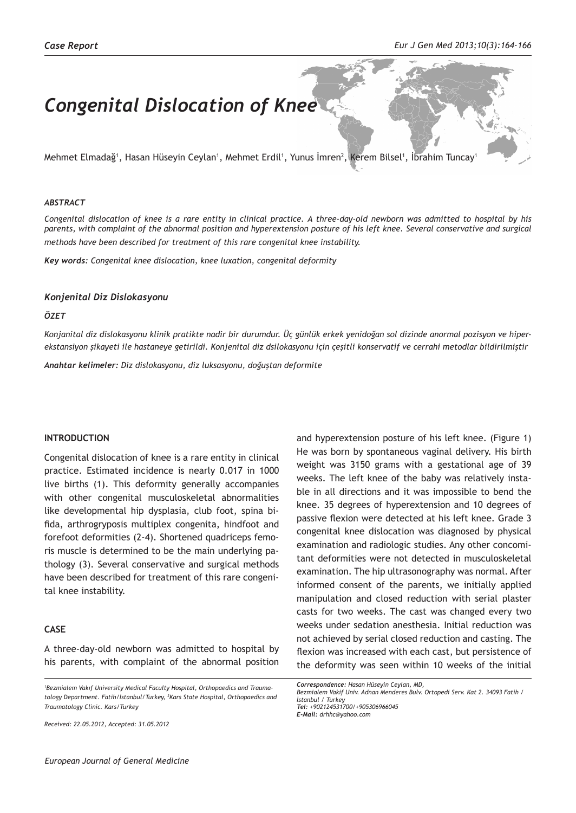# *Congenital Dislocation of Knee*

Mehmet Elmadağ', Hasan Hüseyin Ceylan', Mehmet Erdil', Yunus Imren<sup>2</sup>, Kerem Bilsel', Ibrahim Tuncay'

### *ABSTRACT*

*Congenital dislocation of knee is a rare entity in clinical practice. A three-day-old newborn was admitted to hospital by his parents, with complaint of the abnormal position and hyperextension posture of his left knee. Several conservative and surgical methods have been described for treatment of this rare congenital knee instability.*

*Key words: Congenital knee dislocation, knee luxation, congenital deformity*

## *Konjenital Diz Dislokasyonu*

## *ÖZET*

*Konjanital diz dislokasyonu klinik pratikte nadir bir durumdur. Üç günlük erkek yenidoğan sol dizinde anormal pozisyon ve hiperekstansiyon şikayeti ile hastaneye getirildi. Konjenital diz dsilokasyonu için çeşitli konservatif ve cerrahi metodlar bildirilmiştir*

*Anahtar kelimeler: Diz dislokasyonu, diz luksasyonu, doğuştan deformite*

## **INTRODUCTION**

Congenital dislocation of knee is a rare entity in clinical practice. Estimated incidence is nearly 0.017 in 1000 live births (1). This deformity generally accompanies with other congenital musculoskeletal abnormalities like developmental hip dysplasia, club foot, spina bifida, arthrogryposis multiplex congenita, hindfoot and forefoot deformities (2-4). Shortened quadriceps femoris muscle is determined to be the main underlying pathology (3). Several conservative and surgical methods have been described for treatment of this rare congenital knee instability.

# **CASE**

A three-day-old newborn was admitted to hospital by his parents, with complaint of the abnormal position

*1 Bezmialem Vakıf University Medical Faculty Hospital, Orthopaedics and Traumatology Department. Fatih/İstanbul/Turkey, <sup>2</sup> Kars State Hospital, Orthopaedics and Traumatology Clinic. Kars/Turkey*

*Received: 22.05.2012, Accepted: 31.05.2012*

and hyperextension posture of his left knee. (Figure 1) He was born by spontaneous vaginal delivery. His birth weight was 3150 grams with a gestational age of 39 weeks. The left knee of the baby was relatively instable in all directions and it was impossible to bend the knee. 35 degrees of hyperextension and 10 degrees of passive flexion were detected at his left knee. Grade 3 congenital knee dislocation was diagnosed by physical examination and radiologic studies. Any other concomitant deformities were not detected in musculoskeletal examination. The hip ultrasonography was normal. After informed consent of the parents, we initially applied manipulation and closed reduction with serial plaster casts for two weeks. The cast was changed every two weeks under sedation anesthesia. Initial reduction was not achieved by serial closed reduction and casting. The flexion was increased with each cast, but persistence of the deformity was seen within 10 weeks of the initial

*Correspondence: Hasan Hüseyin Ceylan, MD, Bezmialem Vakif Univ. Adnan Menderes Bulv. Ortopedi Serv. Kat 2. 34093 Fatih / İstanbul / Turkey Tel: +902124531700/+905306966045 E-Mail: drhhc@yahoo.com*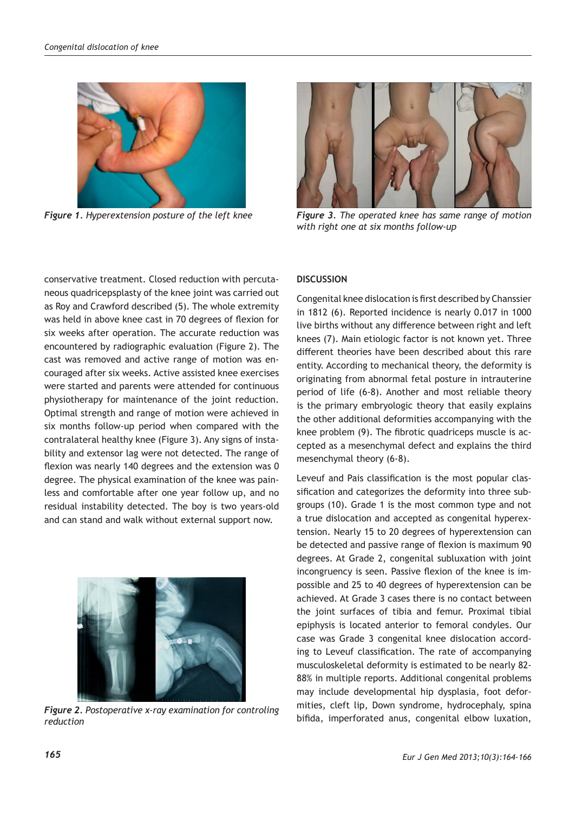

*Figure 1. Hyperextension posture of the left knee*



*Figure 3. The operated knee has same range of motion with right one at six months follow-up*

conservative treatment. Closed reduction with percutaneous quadricepsplasty of the knee joint was carried out as Roy and Crawford described (5). The whole extremity was held in above knee cast in 70 degrees of flexion for six weeks after operation. The accurate reduction was encountered by radiographic evaluation (Figure 2). The cast was removed and active range of motion was encouraged after six weeks. Active assisted knee exercises were started and parents were attended for continuous physiotherapy for maintenance of the joint reduction. Optimal strength and range of motion were achieved in six months follow-up period when compared with the contralateral healthy knee (Figure 3). Any signs of instability and extensor lag were not detected. The range of flexion was nearly 140 degrees and the extension was 0 degree. The physical examination of the knee was painless and comfortable after one year follow up, and no residual instability detected. The boy is two years-old and can stand and walk without external support now.



*Figure 2. Postoperative x-ray examination for controling reduction*

## **DISCUSSION**

Congenital knee dislocation is first described by Chanssier in 1812 (6). Reported incidence is nearly 0.017 in 1000 live births without any difference between right and left knees (7). Main etiologic factor is not known yet. Three different theories have been described about this rare entity. According to mechanical theory, the deformity is originating from abnormal fetal posture in intrauterine period of life (6-8). Another and most reliable theory is the primary embryologic theory that easily explains the other additional deformities accompanying with the knee problem (9). The fibrotic quadriceps muscle is accepted as a mesenchymal defect and explains the third mesenchymal theory (6-8).

Leveuf and Pais classification is the most popular classification and categorizes the deformity into three subgroups (10). Grade 1 is the most common type and not a true dislocation and accepted as congenital hyperextension. Nearly 15 to 20 degrees of hyperextension can be detected and passive range of flexion is maximum 90 degrees. At Grade 2, congenital subluxation with joint incongruency is seen. Passive flexion of the knee is impossible and 25 to 40 degrees of hyperextension can be achieved. At Grade 3 cases there is no contact between the joint surfaces of tibia and femur. Proximal tibial epiphysis is located anterior to femoral condyles. Our case was Grade 3 congenital knee dislocation according to Leveuf classification. The rate of accompanying musculoskeletal deformity is estimated to be nearly 82- 88% in multiple reports. Additional congenital problems may include developmental hip dysplasia, foot deformities, cleft lip, Down syndrome, hydrocephaly, spina bifida, imperforated anus, congenital elbow luxation,